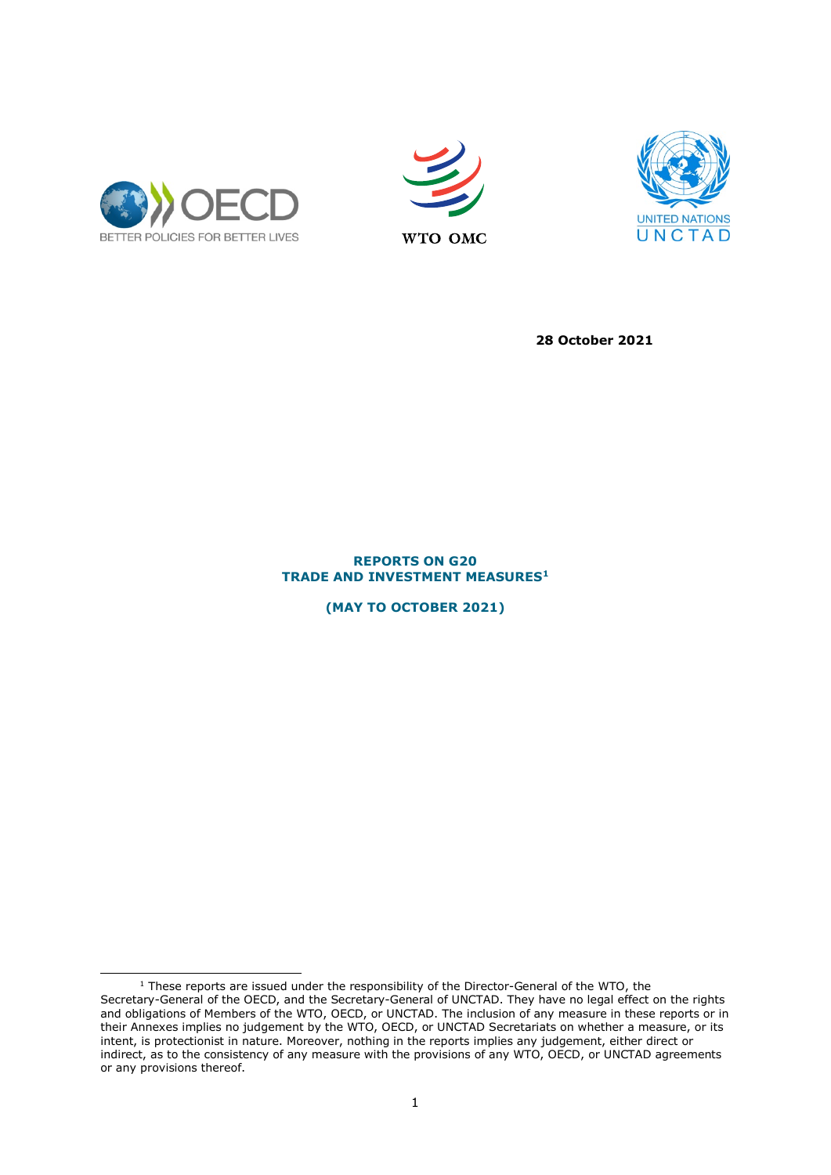





**28 October 2021**

## **REPORTS ON G20 TRADE AND INVESTMENT MEASURES[1](#page-0-0)**

**(MAY TO OCTOBER 2021)**

<span id="page-0-0"></span> $1$  These reports are issued under the responsibility of the Director-General of the WTO, the Secretary-General of the OECD, and the Secretary-General of UNCTAD. They have no legal effect on the rights and obligations of Members of the WTO, OECD, or UNCTAD. The inclusion of any measure in these reports or in their Annexes implies no judgement by the WTO, OECD, or UNCTAD Secretariats on whether a measure, or its intent, is protectionist in nature. Moreover, nothing in the reports implies any judgement, either direct or indirect, as to the consistency of any measure with the provisions of any WTO, OECD, or UNCTAD agreements or any provisions thereof.